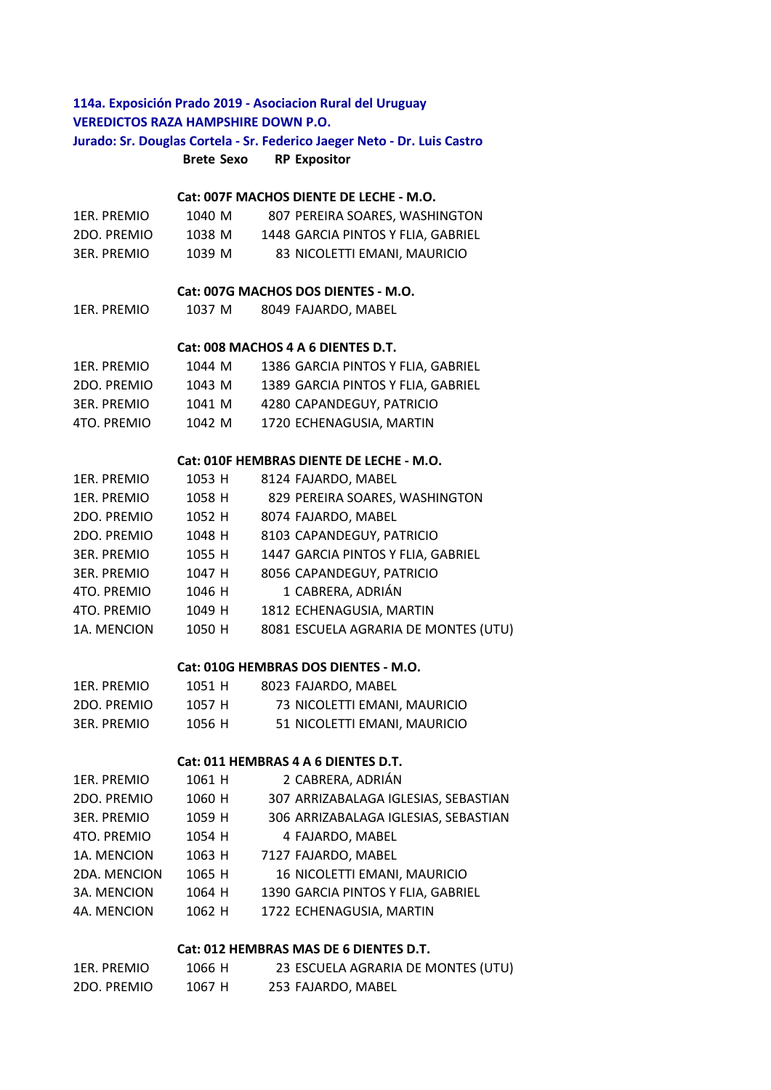## **Brete Sexo RP Expositor** 1ER. PREMIO 1040 M 807 PEREIRA SOARES, WASHINGTON 2DO. PREMIO 1038 M 1448 GARCIA PINTOS Y FLIA, GABRIEL 3ER. PREMIO 1039 M 83 NICOLETTI EMANI, MAURICIO 1ER. PREMIO 1037 M 8049 FAJARDO, MABEL 1ER. PREMIO 1044 M 1386 GARCIA PINTOS Y FLIA, GABRIEL 2DO. PREMIO 1043 M 1389 GARCIA PINTOS Y FLIA, GABRIEL 3ER. PREMIO 1041 M 4280 CAPANDEGUY, PATRICIO 4TO. PREMIO 1042 M 1720 ECHENAGUSIA, MARTIN 1ER. PREMIO 1053 H 8124 FAJARDO, MABEL 1ER. PREMIO 1058 H 829 PEREIRA SOARES, WASHINGTON 2DO. PREMIO 1052 H 8074 FAJARDO, MABEL 2DO. PREMIO 1048 H 8103 CAPANDEGUY, PATRICIO 3ER. PREMIO 1055 H 1447 GARCIA PINTOS Y FLIA, GABRIEL 3ER. PREMIO 1047 H 8056 CAPANDEGUY, PATRICIO 4TO. PREMIO 1046 H 1 CABRERA, ADRIÁN 4TO. PREMIO 1049 H 1812 ECHENAGUSIA, MARTIN 1A. MENCION 1050 H 8081 ESCUELA AGRARIA DE MONTES (UTU) 1ER. PREMIO 1051 H 8023 FAJARDO, MABEL 2DO. PREMIO 1057 H 73 NICOLETTI EMANI, MAURICIO 3ER. PREMIO 1056 H 51 NICOLETTI EMANI, MAURICIO 1ER. PREMIO 1061 H 2 CABRERA, ADRIÁN 2DO. PREMIO 1060 H 307 ARRIZABALAGA IGLESIAS, SEBASTIAN 3ER. PREMIO 1059 H 306 ARRIZABALAGA IGLESIAS, SEBASTIAN 4TO. PREMIO 1054 H 4 FAJARDO, MABEL 1A. MENCION 1063 H 7127 FAJARDO, MABEL 2DA. MENCION 1065 H 16 NICOLETTI EMANI, MAURICIO 3A. MENCION 1064 H 1390 GARCIA PINTOS Y FLIA, GABRIEL 4A. MENCION 1062 H 1722 ECHENAGUSIA, MARTIN **Cat: 010F HEMBRAS DIENTE DE LECHE - M.O. Cat: 010G HEMBRAS DOS DIENTES - M.O. Cat: 011 HEMBRAS 4 A 6 DIENTES D.T. 114a. Exposición Prado 2019 - Asociacion Rural del Uruguay VEREDICTOS RAZA HAMPSHIRE DOWN P.O. Jurado: Sr. Douglas Cortela - Sr. Federico Jaeger Neto - Dr. Luis Castro Cat: 007F MACHOS DIENTE DE LECHE - M.O. Cat: 007G MACHOS DOS DIENTES - M.O. Cat: 008 MACHOS 4 A 6 DIENTES D.T.**

## **Cat: 012 HEMBRAS MAS DE 6 DIENTES D.T.**

| 1ER. PREMIO | 1066 H | 23 ESCUELA AGRARIA DE MONTES (UTU) |
|-------------|--------|------------------------------------|
| 2DO. PREMIO | 1067 H | 253 FAJARDO, MABEL                 |